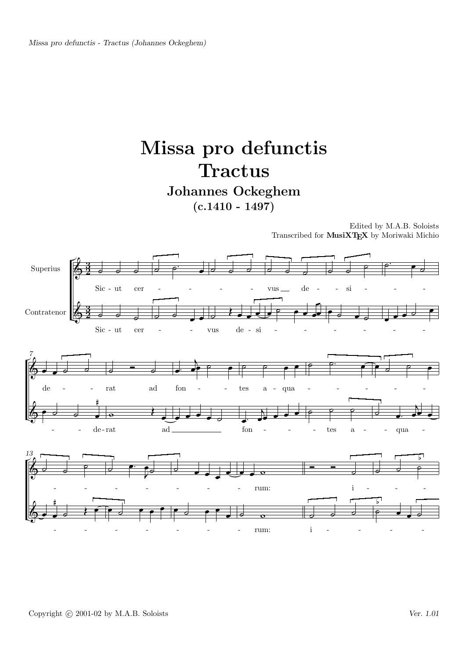## Missa pro defunctis **Tractus** Johannes Ockeghem

 $(c.1410 - 1497)$ 

Edited by M.A.B. Soloists Transcribed for MusiXTEX by Moriwaki Michio